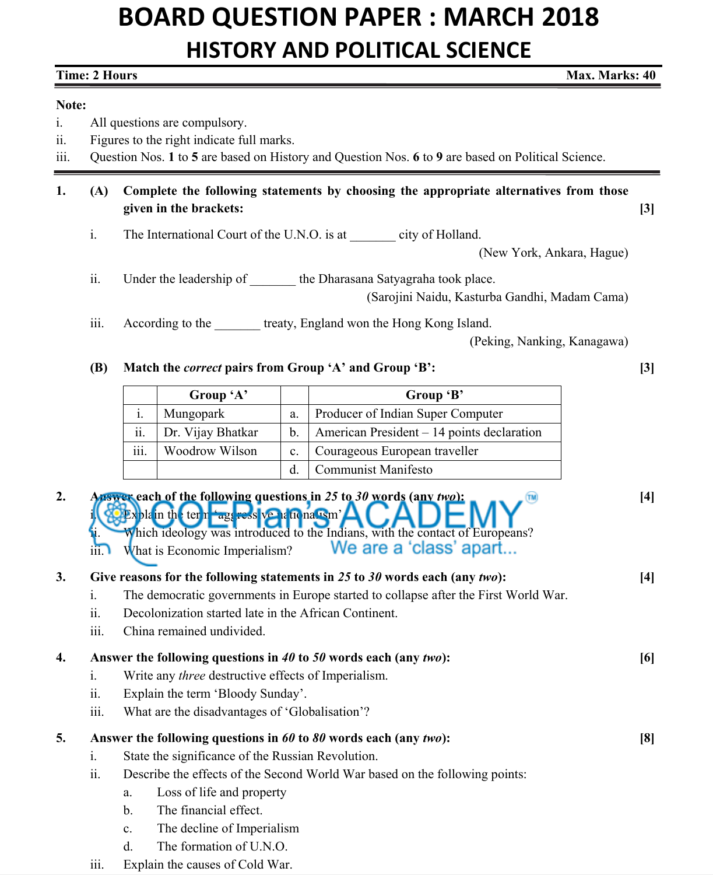## **BOARD QUESTION PAPER : MARCH 2018 HISTORY AND POLITICAL SCIENCE**

| <b>Time: 2 Hours</b><br>Max. Marks: 40   |                                                                                                                                                                                  |                                                                                                                                                                                                                                                                                              |                            |                |                                            |  |       |  |  |
|------------------------------------------|----------------------------------------------------------------------------------------------------------------------------------------------------------------------------------|----------------------------------------------------------------------------------------------------------------------------------------------------------------------------------------------------------------------------------------------------------------------------------------------|----------------------------|----------------|--------------------------------------------|--|-------|--|--|
| Note:<br>1.<br>$\overline{11}$ .<br>iii. | All questions are compulsory.<br>Figures to the right indicate full marks.<br>Question Nos. 1 to 5 are based on History and Question Nos. 6 to 9 are based on Political Science. |                                                                                                                                                                                                                                                                                              |                            |                |                                            |  |       |  |  |
| 1.                                       | (A)                                                                                                                                                                              | Complete the following statements by choosing the appropriate alternatives from those<br>given in the brackets:                                                                                                                                                                              |                            |                |                                            |  |       |  |  |
|                                          | i.                                                                                                                                                                               | The International Court of the U.N.O. is at _________ city of Holland.<br>(New York, Ankara, Hague)                                                                                                                                                                                          |                            |                |                                            |  |       |  |  |
|                                          | $\ddot{\mathbf{11}}$ .                                                                                                                                                           | Under the leadership of ________ the Dharasana Satyagraha took place.<br>(Sarojini Naidu, Kasturba Gandhi, Madam Cama)                                                                                                                                                                       |                            |                |                                            |  |       |  |  |
|                                          | iii.                                                                                                                                                                             | According to the treaty, England won the Hong Kong Island.<br>(Peking, Nanking, Kanagawa)                                                                                                                                                                                                    |                            |                |                                            |  |       |  |  |
|                                          | <b>(B)</b>                                                                                                                                                                       | Match the <i>correct</i> pairs from Group 'A' and Group 'B':                                                                                                                                                                                                                                 |                            |                |                                            |  | $[3]$ |  |  |
|                                          |                                                                                                                                                                                  |                                                                                                                                                                                                                                                                                              | Group 'A'                  |                | Group 'B'                                  |  |       |  |  |
|                                          |                                                                                                                                                                                  | $\mathbf{i}$ .                                                                                                                                                                                                                                                                               | Mungopark                  | a.             | Producer of Indian Super Computer          |  |       |  |  |
|                                          |                                                                                                                                                                                  | 11.                                                                                                                                                                                                                                                                                          | Dr. Vijay Bhatkar          | b.             | American President - 14 points declaration |  |       |  |  |
|                                          |                                                                                                                                                                                  | $\overline{\text{iii}}$ .                                                                                                                                                                                                                                                                    | Woodrow Wilson             | $\mathbf{c}$ . | Courageous European traveller              |  |       |  |  |
|                                          |                                                                                                                                                                                  |                                                                                                                                                                                                                                                                                              |                            | d.             | <b>Communist Manifesto</b>                 |  |       |  |  |
| 2.                                       | $\overline{111}$ .                                                                                                                                                               | Answer each of the following questions in 25 to 30 words (any two):<br>$[4]$<br>$\triangle$ Explain the term agencess venational ism' $\triangle$<br>Which ideology was introduced to the Indians, with the contact of Europeans?<br>We are a 'class' apart<br>What is Economic Imperialism? |                            |                |                                            |  |       |  |  |
| 3.                                       | i.<br>11.<br>iii.                                                                                                                                                                | Give reasons for the following statements in 25 to 30 words each (any two):<br>$[4]$<br>The democratic governments in Europe started to collapse after the First World War.<br>Decolonization started late in the African Continent.<br>China remained undivided.                            |                            |                |                                            |  |       |  |  |
| 4.                                       |                                                                                                                                                                                  | Answer the following questions in 40 to 50 words each (any two):<br>[6]                                                                                                                                                                                                                      |                            |                |                                            |  |       |  |  |
|                                          | 1.                                                                                                                                                                               | Write any <i>three</i> destructive effects of Imperialism.                                                                                                                                                                                                                                   |                            |                |                                            |  |       |  |  |
|                                          | ii.                                                                                                                                                                              | Explain the term 'Bloody Sunday'.                                                                                                                                                                                                                                                            |                            |                |                                            |  |       |  |  |
|                                          | iii.                                                                                                                                                                             | What are the disadvantages of 'Globalisation'?                                                                                                                                                                                                                                               |                            |                |                                            |  |       |  |  |
| 5.                                       |                                                                                                                                                                                  | Answer the following questions in $60$ to $80$ words each (any two):                                                                                                                                                                                                                         |                            |                |                                            |  |       |  |  |
|                                          | i.                                                                                                                                                                               | State the significance of the Russian Revolution.                                                                                                                                                                                                                                            |                            |                |                                            |  |       |  |  |
|                                          | $\overline{\mathbf{u}}$ .                                                                                                                                                        | Describe the effects of the Second World War based on the following points:                                                                                                                                                                                                                  |                            |                |                                            |  |       |  |  |
|                                          |                                                                                                                                                                                  | Loss of life and property<br>a.                                                                                                                                                                                                                                                              |                            |                |                                            |  |       |  |  |
|                                          |                                                                                                                                                                                  | $\mathbf{b}$ .                                                                                                                                                                                                                                                                               | The financial effect.      |                |                                            |  |       |  |  |
|                                          |                                                                                                                                                                                  | c.                                                                                                                                                                                                                                                                                           | The decline of Imperialism |                |                                            |  |       |  |  |
|                                          |                                                                                                                                                                                  | d.                                                                                                                                                                                                                                                                                           | The formation of U.N.O.    |                |                                            |  |       |  |  |

iii. Explain the causes of Cold War.